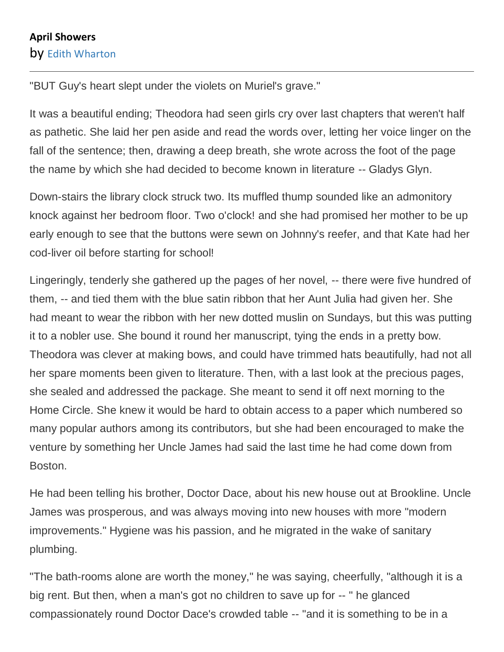## **April Showers** by [Edith Wharton](http://americanliterature.com/author/edith-wharton/bio-books-stories)

"BUT Guy's heart slept under the violets on Muriel's grave."

It was a beautiful ending; Theodora had seen girls cry over last chapters that weren't half as pathetic. She laid her pen aside and read the words over, letting her voice linger on the fall of the sentence; then, drawing a deep breath, she wrote across the foot of the page the name by which she had decided to become known in literature -- Gladys Glyn.

Down-stairs the library clock struck two. Its muffled thump sounded like an admonitory knock against her bedroom floor. Two o'clock! and she had promised her mother to be up early enough to see that the buttons were sewn on Johnny's reefer, and that Kate had her cod-liver oil before starting for school!

Lingeringly, tenderly she gathered up the pages of her novel, -- there were five hundred of them, -- and tied them with the blue satin ribbon that her Aunt Julia had given her. She had meant to wear the ribbon with her new dotted muslin on Sundays, but this was putting it to a nobler use. She bound it round her manuscript, tying the ends in a pretty bow. Theodora was clever at making bows, and could have trimmed hats beautifully, had not all her spare moments been given to literature. Then, with a last look at the precious pages, she sealed and addressed the package. She meant to send it off next morning to the Home Circle. She knew it would be hard to obtain access to a paper which numbered so many popular authors among its contributors, but she had been encouraged to make the venture by something her Uncle James had said the last time he had come down from Boston.

He had been telling his brother, Doctor Dace, about his new house out at Brookline. Uncle James was prosperous, and was always moving into new houses with more "modern improvements." Hygiene was his passion, and he migrated in the wake of sanitary plumbing.

"The bath-rooms alone are worth the money," he was saying, cheerfully, "although it is a big rent. But then, when a man's got no children to save up for -- " he glanced compassionately round Doctor Dace's crowded table -- "and it is something to be in a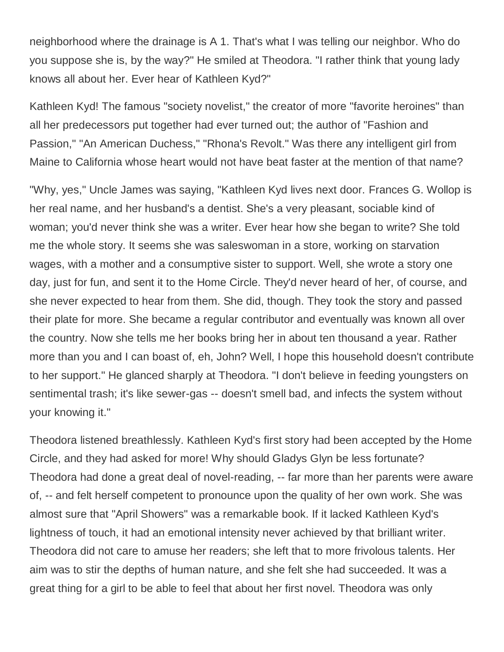neighborhood where the drainage is A 1. That's what I was telling our neighbor. Who do you suppose she is, by the way?" He smiled at Theodora. "I rather think that young lady knows all about her. Ever hear of Kathleen Kyd?"

Kathleen Kyd! The famous "society novelist," the creator of more "favorite heroines" than all her predecessors put together had ever turned out; the author of "Fashion and Passion," "An American Duchess," "Rhona's Revolt." Was there any intelligent girl from Maine to California whose heart would not have beat faster at the mention of that name?

"Why, yes," Uncle James was saying, "Kathleen Kyd lives next door. Frances G. Wollop is her real name, and her husband's a dentist. She's a very pleasant, sociable kind of woman; you'd never think she was a writer. Ever hear how she began to write? She told me the whole story. It seems she was saleswoman in a store, working on starvation wages, with a mother and a consumptive sister to support. Well, she wrote a story one day, just for fun, and sent it to the Home Circle. They'd never heard of her, of course, and she never expected to hear from them. She did, though. They took the story and passed their plate for more. She became a regular contributor and eventually was known all over the country. Now she tells me her books bring her in about ten thousand a year. Rather more than you and I can boast of, eh, John? Well, I hope this household doesn't contribute to her support." He glanced sharply at Theodora. "I don't believe in feeding youngsters on sentimental trash; it's like sewer-gas -- doesn't smell bad, and infects the system without your knowing it."

Theodora listened breathlessly. Kathleen Kyd's first story had been accepted by the Home Circle, and they had asked for more! Why should Gladys Glyn be less fortunate? Theodora had done a great deal of novel-reading, -- far more than her parents were aware of, -- and felt herself competent to pronounce upon the quality of her own work. She was almost sure that "April Showers" was a remarkable book. If it lacked Kathleen Kyd's lightness of touch, it had an emotional intensity never achieved by that brilliant writer. Theodora did not care to amuse her readers; she left that to more frivolous talents. Her aim was to stir the depths of human nature, and she felt she had succeeded. It was a great thing for a girl to be able to feel that about her first novel. Theodora was only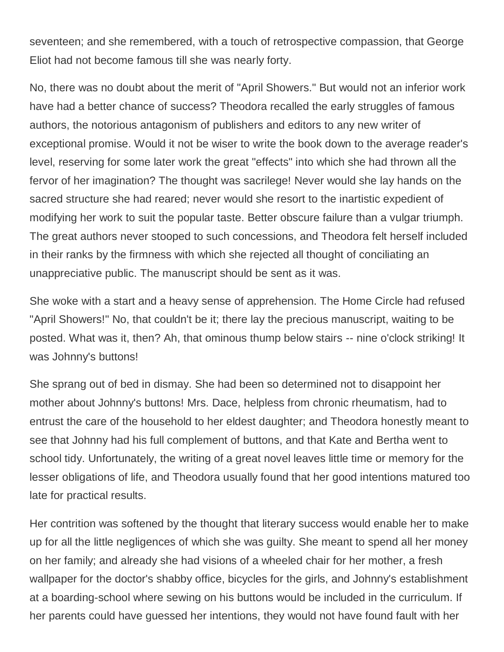seventeen; and she remembered, with a touch of retrospective compassion, that George Eliot had not become famous till she was nearly forty.

No, there was no doubt about the merit of "April Showers." But would not an inferior work have had a better chance of success? Theodora recalled the early struggles of famous authors, the notorious antagonism of publishers and editors to any new writer of exceptional promise. Would it not be wiser to write the book down to the average reader's level, reserving for some later work the great "effects" into which she had thrown all the fervor of her imagination? The thought was sacrilege! Never would she lay hands on the sacred structure she had reared; never would she resort to the inartistic expedient of modifying her work to suit the popular taste. Better obscure failure than a vulgar triumph. The great authors never stooped to such concessions, and Theodora felt herself included in their ranks by the firmness with which she rejected all thought of conciliating an unappreciative public. The manuscript should be sent as it was.

She woke with a start and a heavy sense of apprehension. The Home Circle had refused "April Showers!" No, that couldn't be it; there lay the precious manuscript, waiting to be posted. What was it, then? Ah, that ominous thump below stairs -- nine o'clock striking! It was Johnny's buttons!

She sprang out of bed in dismay. She had been so determined not to disappoint her mother about Johnny's buttons! Mrs. Dace, helpless from chronic rheumatism, had to entrust the care of the household to her eldest daughter; and Theodora honestly meant to see that Johnny had his full complement of buttons, and that Kate and Bertha went to school tidy. Unfortunately, the writing of a great novel leaves little time or memory for the lesser obligations of life, and Theodora usually found that her good intentions matured too late for practical results.

Her contrition was softened by the thought that literary success would enable her to make up for all the little negligences of which she was guilty. She meant to spend all her money on her family; and already she had visions of a wheeled chair for her mother, a fresh wallpaper for the doctor's shabby office, bicycles for the girls, and Johnny's establishment at a boarding-school where sewing on his buttons would be included in the curriculum. If her parents could have guessed her intentions, they would not have found fault with her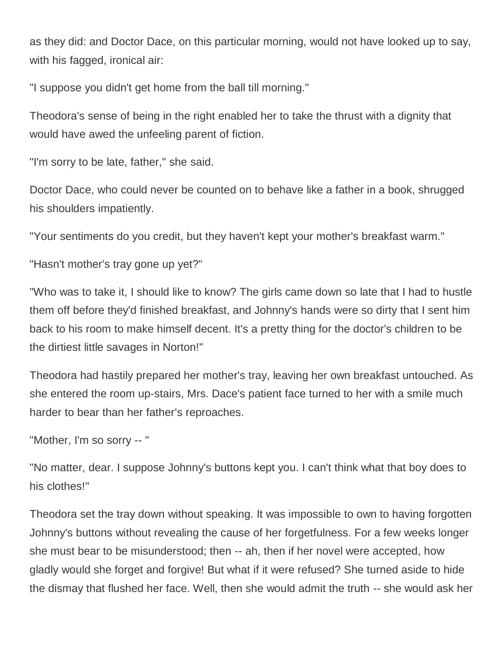as they did: and Doctor Dace, on this particular morning, would not have looked up to say, with his fagged, ironical air:

"I suppose you didn't get home from the ball till morning."

Theodora's sense of being in the right enabled her to take the thrust with a dignity that would have awed the unfeeling parent of fiction.

"I'm sorry to be late, father," she said.

Doctor Dace, who could never be counted on to behave like a father in a book, shrugged his shoulders impatiently.

"Your sentiments do you credit, but they haven't kept your mother's breakfast warm."

"Hasn't mother's tray gone up yet?"

"Who was to take it, I should like to know? The girls came down so late that I had to hustle them off before they'd finished breakfast, and Johnny's hands were so dirty that I sent him back to his room to make himself decent. It's a pretty thing for the doctor's children to be the dirtiest little savages in Norton!"

Theodora had hastily prepared her mother's tray, leaving her own breakfast untouched. As she entered the room up-stairs, Mrs. Dace's patient face turned to her with a smile much harder to bear than her father's reproaches.

"Mother, I'm so sorry -- "

"No matter, dear. I suppose Johnny's buttons kept you. I can't think what that boy does to his clothes!"

Theodora set the tray down without speaking. It was impossible to own to having forgotten Johnny's buttons without revealing the cause of her forgetfulness. For a few weeks longer she must bear to be misunderstood; then -- ah, then if her novel were accepted, how gladly would she forget and forgive! But what if it were refused? She turned aside to hide the dismay that flushed her face. Well, then she would admit the truth -- she would ask her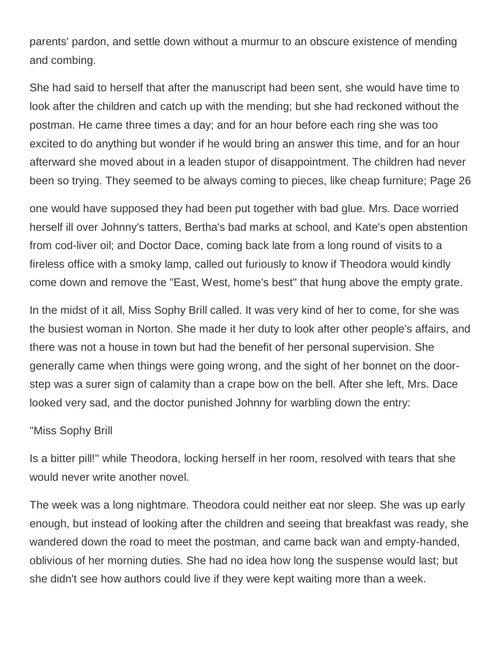parents' pardon, and settle down without a murmur to an obscure existence of mending and combing.

She had said to herself that after the manuscript had been sent, she would have time to look after the children and catch up with the mending; but she had reckoned without the postman. He came three times a day; and for an hour before each ring she was too excited to do anything but wonder if he would bring an answer this time, and for an hour afterward she moved about in a leaden stupor of disappointment. The children had never been so trying. They seemed to be always coming to pieces, like cheap furniture; Page 26

one would have supposed they had been put together with bad glue. Mrs. Dace worried herself ill over Johnny's tatters, Bertha's bad marks at school, and Kate's open abstention from cod-liver oil; and Doctor Dace, coming back late from a long round of visits to a fireless office with a smoky lamp, called out furiously to know if Theodora would kindly come down and remove the "East, West, home's best" that hung above the empty grate.

In the midst of it all, Miss Sophy Brill called. It was very kind of her to come, for she was the busiest woman in Norton. She made it her duty to look after other people's affairs, and there was not a house in town but had the benefit of her personal supervision. She generally came when things were going wrong, and the sight of her bonnet on the doorstep was a surer sign of calamity than a crape bow on the bell. After she left, Mrs. Dace looked very sad, and the doctor punished Johnny for warbling down the entry:

## "Miss Sophy Brill

Is a bitter pill!" while Theodora, locking herself in her room, resolved with tears that she would never write another novel.

The week was a long nightmare. Theodora could neither eat nor sleep. She was up early enough, but instead of looking after the children and seeing that breakfast was ready, she wandered down the road to meet the postman, and came back wan and empty-handed, oblivious of her morning duties. She had no idea how long the suspense would last; but she didn't see how authors could live if they were kept waiting more than a week.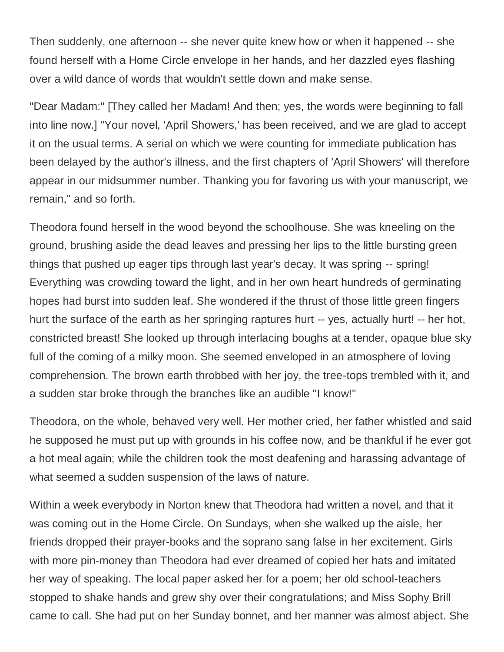Then suddenly, one afternoon -- she never quite knew how or when it happened -- she found herself with a Home Circle envelope in her hands, and her dazzled eyes flashing over a wild dance of words that wouldn't settle down and make sense.

"Dear Madam:" [They called her Madam! And then; yes, the words were beginning to fall into line now.] "Your novel, 'April Showers,' has been received, and we are glad to accept it on the usual terms. A serial on which we were counting for immediate publication has been delayed by the author's illness, and the first chapters of 'April Showers' will therefore appear in our midsummer number. Thanking you for favoring us with your manuscript, we remain," and so forth.

Theodora found herself in the wood beyond the schoolhouse. She was kneeling on the ground, brushing aside the dead leaves and pressing her lips to the little bursting green things that pushed up eager tips through last year's decay. It was spring -- spring! Everything was crowding toward the light, and in her own heart hundreds of germinating hopes had burst into sudden leaf. She wondered if the thrust of those little green fingers hurt the surface of the earth as her springing raptures hurt -- yes, actually hurt! -- her hot, constricted breast! She looked up through interlacing boughs at a tender, opaque blue sky full of the coming of a milky moon. She seemed enveloped in an atmosphere of loving comprehension. The brown earth throbbed with her joy, the tree-tops trembled with it, and a sudden star broke through the branches like an audible "I know!"

Theodora, on the whole, behaved very well. Her mother cried, her father whistled and said he supposed he must put up with grounds in his coffee now, and be thankful if he ever got a hot meal again; while the children took the most deafening and harassing advantage of what seemed a sudden suspension of the laws of nature.

Within a week everybody in Norton knew that Theodora had written a novel, and that it was coming out in the Home Circle. On Sundays, when she walked up the aisle, her friends dropped their prayer-books and the soprano sang false in her excitement. Girls with more pin-money than Theodora had ever dreamed of copied her hats and imitated her way of speaking. The local paper asked her for a poem; her old school-teachers stopped to shake hands and grew shy over their congratulations; and Miss Sophy Brill came to call. She had put on her Sunday bonnet, and her manner was almost abject. She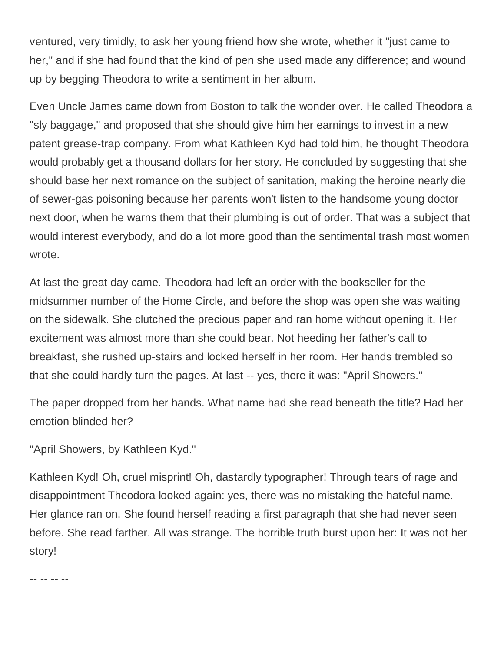ventured, very timidly, to ask her young friend how she wrote, whether it "just came to her," and if she had found that the kind of pen she used made any difference; and wound up by begging Theodora to write a sentiment in her album.

Even Uncle James came down from Boston to talk the wonder over. He called Theodora a "sly baggage," and proposed that she should give him her earnings to invest in a new patent grease-trap company. From what Kathleen Kyd had told him, he thought Theodora would probably get a thousand dollars for her story. He concluded by suggesting that she should base her next romance on the subject of sanitation, making the heroine nearly die of sewer-gas poisoning because her parents won't listen to the handsome young doctor next door, when he warns them that their plumbing is out of order. That was a subject that would interest everybody, and do a lot more good than the sentimental trash most women wrote.

At last the great day came. Theodora had left an order with the bookseller for the midsummer number of the Home Circle, and before the shop was open she was waiting on the sidewalk. She clutched the precious paper and ran home without opening it. Her excitement was almost more than she could bear. Not heeding her father's call to breakfast, she rushed up-stairs and locked herself in her room. Her hands trembled so that she could hardly turn the pages. At last -- yes, there it was: "April Showers."

The paper dropped from her hands. What name had she read beneath the title? Had her emotion blinded her?

"April Showers, by Kathleen Kyd."

Kathleen Kyd! Oh, cruel misprint! Oh, dastardly typographer! Through tears of rage and disappointment Theodora looked again: yes, there was no mistaking the hateful name. Her glance ran on. She found herself reading a first paragraph that she had never seen before. She read farther. All was strange. The horrible truth burst upon her: It was not her story!

-- -- -- --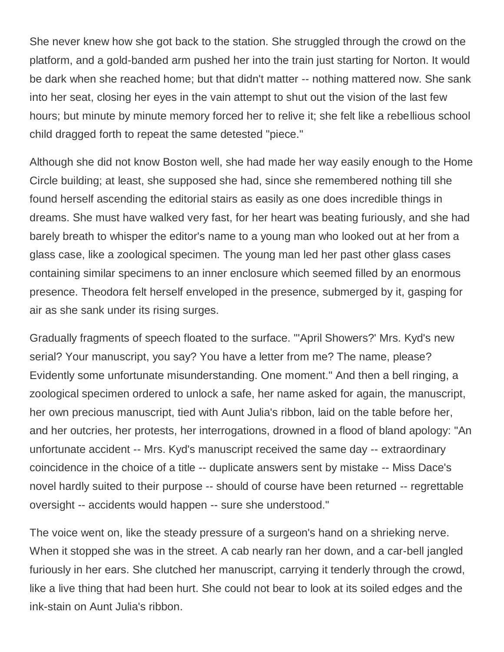She never knew how she got back to the station. She struggled through the crowd on the platform, and a gold-banded arm pushed her into the train just starting for Norton. It would be dark when she reached home; but that didn't matter -- nothing mattered now. She sank into her seat, closing her eyes in the vain attempt to shut out the vision of the last few hours; but minute by minute memory forced her to relive it; she felt like a rebellious school child dragged forth to repeat the same detested "piece."

Although she did not know Boston well, she had made her way easily enough to the Home Circle building; at least, she supposed she had, since she remembered nothing till she found herself ascending the editorial stairs as easily as one does incredible things in dreams. She must have walked very fast, for her heart was beating furiously, and she had barely breath to whisper the editor's name to a young man who looked out at her from a glass case, like a zoological specimen. The young man led her past other glass cases containing similar specimens to an inner enclosure which seemed filled by an enormous presence. Theodora felt herself enveloped in the presence, submerged by it, gasping for air as she sank under its rising surges.

Gradually fragments of speech floated to the surface. "'April Showers?' Mrs. Kyd's new serial? Your manuscript, you say? You have a letter from me? The name, please? Evidently some unfortunate misunderstanding. One moment." And then a bell ringing, a zoological specimen ordered to unlock a safe, her name asked for again, the manuscript, her own precious manuscript, tied with Aunt Julia's ribbon, laid on the table before her, and her outcries, her protests, her interrogations, drowned in a flood of bland apology: "An unfortunate accident -- Mrs. Kyd's manuscript received the same day -- extraordinary coincidence in the choice of a title -- duplicate answers sent by mistake -- Miss Dace's novel hardly suited to their purpose -- should of course have been returned -- regrettable oversight -- accidents would happen -- sure she understood."

The voice went on, like the steady pressure of a surgeon's hand on a shrieking nerve. When it stopped she was in the street. A cab nearly ran her down, and a car-bell jangled furiously in her ears. She clutched her manuscript, carrying it tenderly through the crowd, like a live thing that had been hurt. She could not bear to look at its soiled edges and the ink-stain on Aunt Julia's ribbon.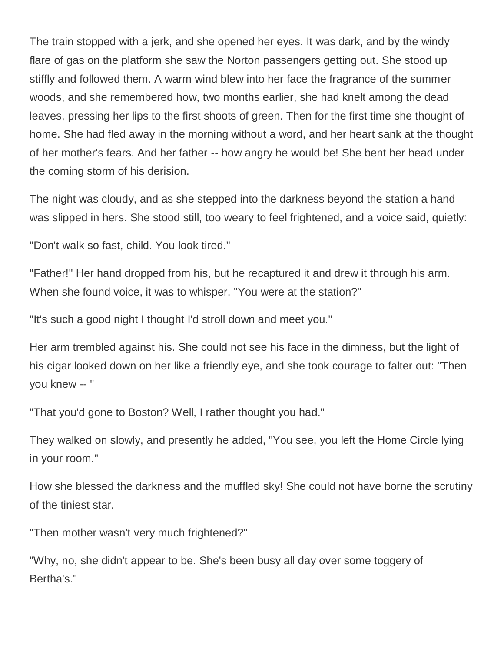The train stopped with a jerk, and she opened her eyes. It was dark, and by the windy flare of gas on the platform she saw the Norton passengers getting out. She stood up stiffly and followed them. A warm wind blew into her face the fragrance of the summer woods, and she remembered how, two months earlier, she had knelt among the dead leaves, pressing her lips to the first shoots of green. Then for the first time she thought of home. She had fled away in the morning without a word, and her heart sank at the thought of her mother's fears. And her father -- how angry he would be! She bent her head under the coming storm of his derision.

The night was cloudy, and as she stepped into the darkness beyond the station a hand was slipped in hers. She stood still, too weary to feel frightened, and a voice said, quietly:

"Don't walk so fast, child. You look tired."

"Father!" Her hand dropped from his, but he recaptured it and drew it through his arm. When she found voice, it was to whisper, "You were at the station?"

"It's such a good night I thought I'd stroll down and meet you."

Her arm trembled against his. She could not see his face in the dimness, but the light of his cigar looked down on her like a friendly eye, and she took courage to falter out: "Then you knew -- "

"That you'd gone to Boston? Well, I rather thought you had."

They walked on slowly, and presently he added, "You see, you left the Home Circle lying in your room."

How she blessed the darkness and the muffled sky! She could not have borne the scrutiny of the tiniest star.

"Then mother wasn't very much frightened?"

"Why, no, she didn't appear to be. She's been busy all day over some toggery of Bertha's."